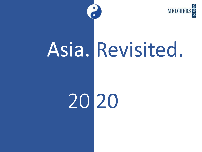

# Asia. Revisited.

20 20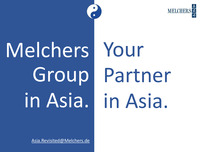# Melchers Group in Asia.

Your Partner in Asia.

[Asia.Revisited@Melchers.de](mailto:Asia.Revisited@Melchers.de)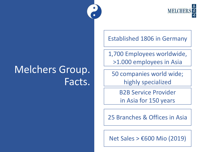

Established 1806 in Germany

1,700 Employees worldwide, >1.000 employees in Asia

50 companies world wide; highly specialized

> B2B Service Provider in Asia for 150 years

25 Branches & Offices in Asia

Net Sales > €600 Mio (2019)

# Melchers Group. Facts.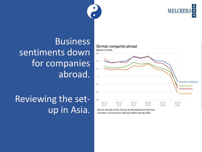**MELCHER** 

#### Business sentiments down for companies abroad.

## Reviewing the set-UD IN ASIA. Source: Results of the Survey by the Network of German Chambers of Commerce Abroad (AHKs) Spring 2020



Chambers of Commerce Abroad (AHKs) Spring 2020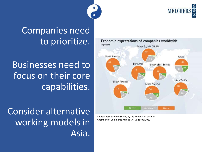

#### Companies need to prioritize.

Businesses need to focus on their core capabilities. Economic expectations of companies worldwide In percent Other EU, NO, CH, UK North America China Euro Area South-/East Europe Asia/Pacific South America Africa / MENA **Better Unchanged Worse** 

Consider alternative working models in Asia.

Source: Results of the Survey by the Network of German Chambers of Commerce Abroad (AHKs) Spring 2020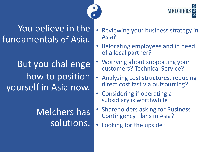MELCH

#### You believe in the fundamentals of Asia.

# But you challenge how to position yourself in Asia now.

## Melchers has solutions.

- Reviewing your business strategy in Asia?
- Relocating employees and in need of a local partner?
- Worrying about supporting your customers? Technical Service?
- Analyzing cost structures, reducing direct cost fast via outsourcing?
- Considering if operating a subsidiary is worthwhile?
- Shareholders asking for Business Contingency Plans in Asia?
- Looking for the upside?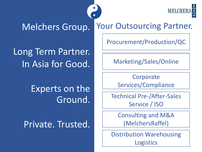**MELCHER** 

#### Melchers Group.

Long Term Partner. In Asia for Good.

> Experts on the Ground.

Private. Trusted.

Your Outsourcing Partner.

Procurement/Production/QC

Marketing/Sales/Online

**Corporate** Services/Compliance

Technical Pre-/After-Sales Service / ISO

Consulting and M&A (MelchersRaffel)

Distribution Warehousing **Logistics**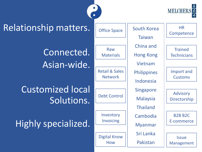